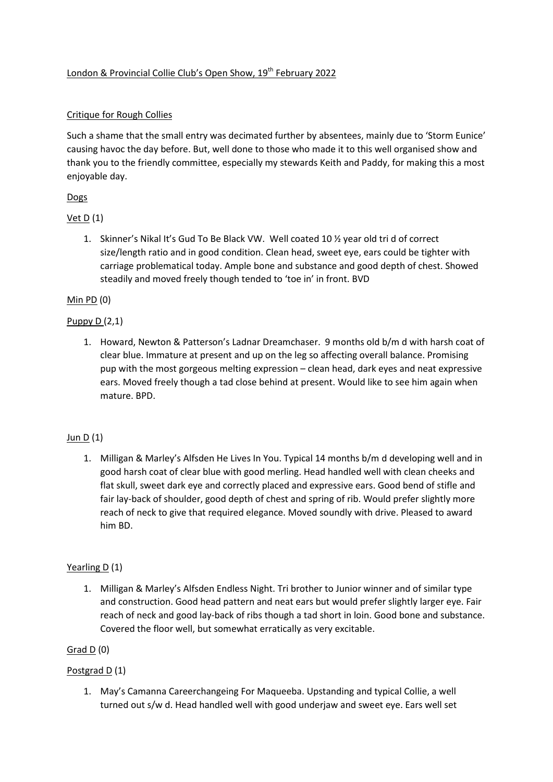## London & Provincial Collie Club's Open Show, 19<sup>th</sup> February 2022

## Critique for Rough Collies

Such a shame that the small entry was decimated further by absentees, mainly due to 'Storm Eunice' causing havoc the day before. But, well done to those who made it to this well organised show and thank you to the friendly committee, especially my stewards Keith and Paddy, for making this a most enjoyable day.

# **Dogs**

## Vet D (1)

1. Skinner's Nikal It's Gud To Be Black VW. Well coated 10 ½ year old tri d of correct size/length ratio and in good condition. Clean head, sweet eye, ears could be tighter with carriage problematical today. Ample bone and substance and good depth of chest. Showed steadily and moved freely though tended to 'toe in' in front. BVD

## Min PD (0)

## Puppy D (2,1)

1. Howard, Newton & Patterson's Ladnar Dreamchaser. 9 months old b/m d with harsh coat of clear blue. Immature at present and up on the leg so affecting overall balance. Promising pup with the most gorgeous melting expression – clean head, dark eyes and neat expressive ears. Moved freely though a tad close behind at present. Would like to see him again when mature. BPD.

## Jun D (1)

1. Milligan & Marley's Alfsden He Lives In You. Typical 14 months b/m d developing well and in good harsh coat of clear blue with good merling. Head handled well with clean cheeks and flat skull, sweet dark eye and correctly placed and expressive ears. Good bend of stifle and fair lay-back of shoulder, good depth of chest and spring of rib. Would prefer slightly more reach of neck to give that required elegance. Moved soundly with drive. Pleased to award him BD.

## Yearling D (1)

1. Milligan & Marley's Alfsden Endless Night. Tri brother to Junior winner and of similar type and construction. Good head pattern and neat ears but would prefer slightly larger eye. Fair reach of neck and good lay-back of ribs though a tad short in loin. Good bone and substance. Covered the floor well, but somewhat erratically as very excitable.

## Grad  $D(0)$

## Postgrad D (1)

1. May's Camanna Careerchangeing For Maqueeba. Upstanding and typical Collie, a well turned out s/w d. Head handled well with good underjaw and sweet eye. Ears well set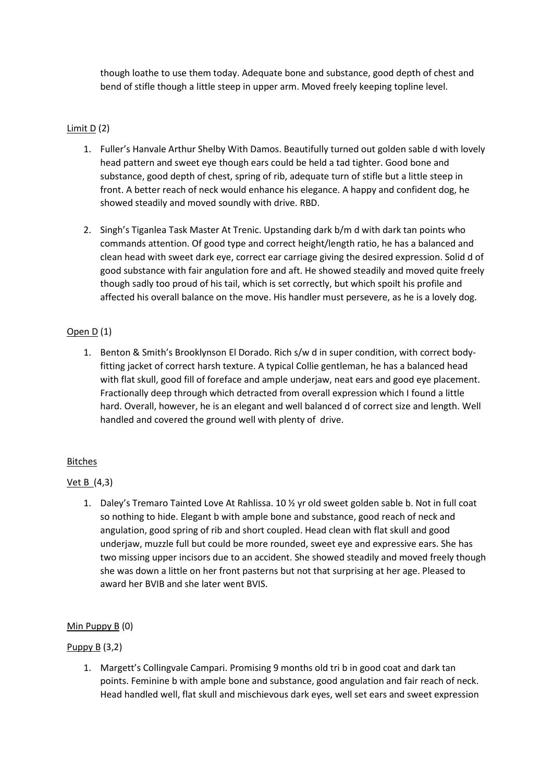though loathe to use them today. Adequate bone and substance, good depth of chest and bend of stifle though a little steep in upper arm. Moved freely keeping topline level.

## Limit D (2)

- 1. Fuller's Hanvale Arthur Shelby With Damos. Beautifully turned out golden sable d with lovely head pattern and sweet eye though ears could be held a tad tighter. Good bone and substance, good depth of chest, spring of rib, adequate turn of stifle but a little steep in front. A better reach of neck would enhance his elegance. A happy and confident dog, he showed steadily and moved soundly with drive. RBD.
- 2. Singh's Tiganlea Task Master At Trenic. Upstanding dark b/m d with dark tan points who commands attention. Of good type and correct height/length ratio, he has a balanced and clean head with sweet dark eye, correct ear carriage giving the desired expression. Solid d of good substance with fair angulation fore and aft. He showed steadily and moved quite freely though sadly too proud of his tail, which is set correctly, but which spoilt his profile and affected his overall balance on the move. His handler must persevere, as he is a lovely dog.

# Open D (1)

1. Benton & Smith's Brooklynson El Dorado. Rich s/w d in super condition, with correct bodyfitting jacket of correct harsh texture. A typical Collie gentleman, he has a balanced head with flat skull, good fill of foreface and ample underjaw, neat ears and good eye placement. Fractionally deep through which detracted from overall expression which I found a little hard. Overall, however, he is an elegant and well balanced d of correct size and length. Well handled and covered the ground well with plenty of drive.

## **Bitches**

## Vet B (4,3)

1. Daley's Tremaro Tainted Love At Rahlissa. 10 ½ yr old sweet golden sable b. Not in full coat so nothing to hide. Elegant b with ample bone and substance, good reach of neck and angulation, good spring of rib and short coupled. Head clean with flat skull and good underjaw, muzzle full but could be more rounded, sweet eye and expressive ears. She has two missing upper incisors due to an accident. She showed steadily and moved freely though she was down a little on her front pasterns but not that surprising at her age. Pleased to award her BVIB and she later went BVIS.

## Min Puppy B (0)

## Puppy B (3,2)

1. Margett's Collingvale Campari. Promising 9 months old tri b in good coat and dark tan points. Feminine b with ample bone and substance, good angulation and fair reach of neck. Head handled well, flat skull and mischievous dark eyes, well set ears and sweet expression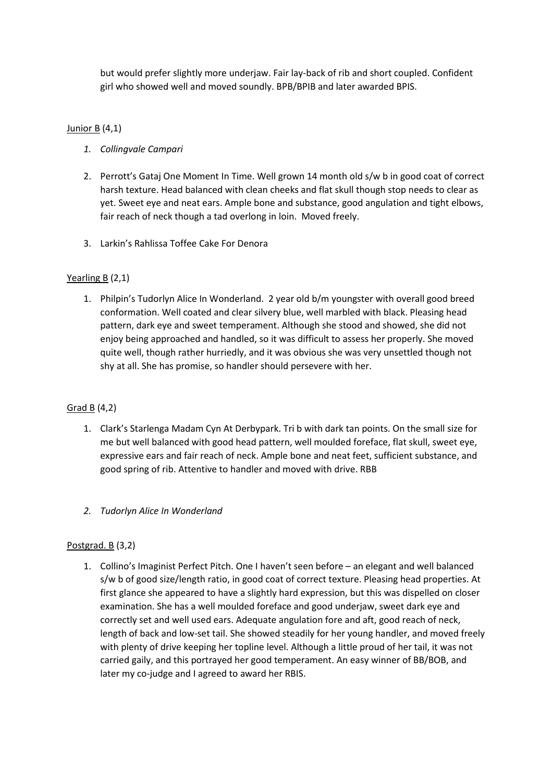but would prefer slightly more underjaw. Fair lay-back of rib and short coupled. Confident girl who showed well and moved soundly. BPB/BPIB and later awarded BPIS.

#### Junior B (4,1)

- *1. Collingvale Campari*
- 2. Perrott's Gataj One Moment In Time. Well grown 14 month old s/w b in good coat of correct harsh texture. Head balanced with clean cheeks and flat skull though stop needs to clear as yet. Sweet eye and neat ears. Ample bone and substance, good angulation and tight elbows, fair reach of neck though a tad overlong in loin. Moved freely.
- 3. Larkin's Rahlissa Toffee Cake For Denora

#### Yearling B (2,1)

1. Philpin's Tudorlyn Alice In Wonderland. 2 year old b/m youngster with overall good breed conformation. Well coated and clear silvery blue, well marbled with black. Pleasing head pattern, dark eye and sweet temperament. Although she stood and showed, she did not enjoy being approached and handled, so it was difficult to assess her properly. She moved quite well, though rather hurriedly, and it was obvious she was very unsettled though not shy at all. She has promise, so handler should persevere with her.

#### Grad B (4,2)

- 1. Clark's Starlenga Madam Cyn At Derbypark. Tri b with dark tan points. On the small size for me but well balanced with good head pattern, well moulded foreface, flat skull, sweet eye, expressive ears and fair reach of neck. Ample bone and neat feet, sufficient substance, and good spring of rib. Attentive to handler and moved with drive. RBB
- *2. Tudorlyn Alice In Wonderland*

#### Postgrad. B (3,2)

1. Collino's Imaginist Perfect Pitch. One I haven't seen before – an elegant and well balanced s/w b of good size/length ratio, in good coat of correct texture. Pleasing head properties. At first glance she appeared to have a slightly hard expression, but this was dispelled on closer examination. She has a well moulded foreface and good underjaw, sweet dark eye and correctly set and well used ears. Adequate angulation fore and aft, good reach of neck, length of back and low-set tail. She showed steadily for her young handler, and moved freely with plenty of drive keeping her topline level. Although a little proud of her tail, it was not carried gaily, and this portrayed her good temperament. An easy winner of BB/BOB, and later my co-judge and I agreed to award her RBIS.